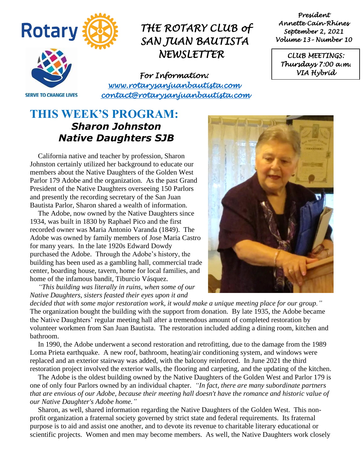

*President Annette Cain-Rhines September 2, 2021 Volume 13– Number 10* 

*CLUB MEETINGS: Thursdays 7:00 a.m. VIA Hybrid* 

**SERVE TO CHANGE LIVES** 

*For Information: [www.rotarysanjuanbautista.com](http://www.rotarysanjuanbautista.com/)  contact@rotarysanjuanbautista.com* 

### **THIS WEEK'S PROGRAM:**  *Sharon Johnston Native Daughters SJB*

California native and teacher by profession, Sharon Johnston certainly utilized her background to educate our members about the Native Daughters of the Golden West Parlor 179 Adobe and the organization. As the past Grand President of the Native Daughters overseeing 150 Parlors and presently the recording secretary of the San Juan Bautista Parlor, Sharon shared a wealth of information.

The Adobe, now owned by the Native Daughters since 1934, was built in 1830 by Raphael Pico and the first recorded owner was Maria Antonio Varanda (1849). The Adobe was owned by family members of Jose Maria Castro for many years. In the late 1920s Edward Dowdy purchased the Adobe. Through the Adobe's history, the building has been used as a gambling hall, commercial trade center, boarding house, tavern, home for local families, and home of the infamous bandit, Tiburcio Vásquez.

*"This building was literally in ruins, when some of our Native Daughters, sisters feasted their eyes upon it and* 

*decided that with some major restoration work, it would make a unique meeting place for our group."*  The organization bought the building with the support from donation. By late 1935, the Adobe became the Native Daughters' regular meeting hall after a tremendous amount of completed restoration by volunteer workmen from San Juan Bautista. The restoration included adding a dining room, kitchen and bathroom.

In 1990, the Adobe underwent a second restoration and retrofitting, due to the damage from the 1989 Loma Prieta earthquake. A new roof, bathroom, heating/air conditioning system, and windows were replaced and an exterior stairway was added, with the balcony reinforced. In June 2021 the third restoration project involved the exterior walls, the flooring and carpeting, and the updating of the kitchen.

The Adobe is the oldest building owned by the Native Daughters of the Golden West and Parlor 179 is one of only four Parlors owned by an individual chapter. *"In fact, there are many subordinate partners that are envious of our Adobe, because their meeting hall doesn't have the romance and historic value of our Native Daughter's Adobe home."*

Sharon, as well, shared information regarding the Native Daughters of the Golden West. This nonprofit organization a fraternal society governed by strict state and federal requirements. Its fraternal purpose is to aid and assist one another, and to devote its revenue to charitable literary educational or scientific projects. Women and men may become members. As well, the Native Daughters work closely

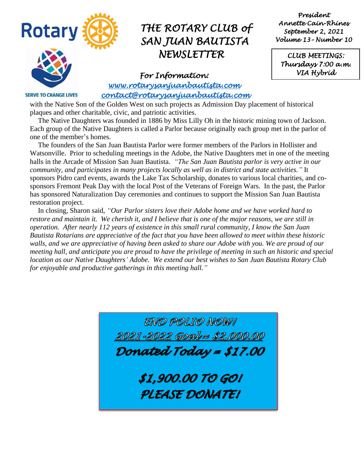

*President Annette Cain-Rhines September 2, 2021 Volume 13– Number 10* 

*CLUB MEETINGS: Thursdays 7:00 a.m. VIA Hybrid* 

*For Information: [www.rotarysanjuanbautista.com](http://www.rotarysanjuanbautista.com/)  contact@rotarysanjuanbautista.com* 

**SERVE TO CHANGE LIVES** 

with the Native Son of the Golden West on such projects as Admission Day placement of historical plaques and other charitable, civic, and patriotic activities.

 The Native Daughters was founded in 1886 by Miss Lilly Oh in the historic mining town of Jackson. Each group of the Native Daughters is called a Parlor because originally each group met in the parlor of one of the member's homes.

The founders of the San Juan Bautista Parlor were former members of the Parlors in Hollister and Watsonville. Prior to scheduling meetings in the Adobe, the Native Daughters met in one of the meeting halls in the Arcade of Mission San Juan Bautista. *"The San Juan Bautista parlor is very active in our community, and participates in many projects locally as well as in district and state activities."* It sponsors Pidro card events, awards the Lake Tax Scholarship, donates to various local charities, and cosponsors Fremont Peak Day with the local Post of the Veterans of Foreign Wars. In the past, the Parlor has sponsored Naturalization Day ceremonies and continues to support the Mission San Juan Bautista restoration project.

In closing, Sharon said, *"Our Parlor sisters love their Adobe home and we have worked hard to restore and maintain it. We cherish it, and I believe that is one of the major reasons, we are still in operation. After nearly 112 years of existence in this small rural community, I know the San Juan Bautista Rotarians are appreciative of the fact that you have been allowed to meet within these historic walls, and we are appreciative of having been asked to share our Adobe with you. We are proud of our meeting hall, and anticipate you are proud to have the privilege of meeting in such an historic and special location as our Native Daughters' Adobe. We extend our best wishes to San Juan Bautista Rotary Club for enjoyable and productive gatherings in this meeting hall."*

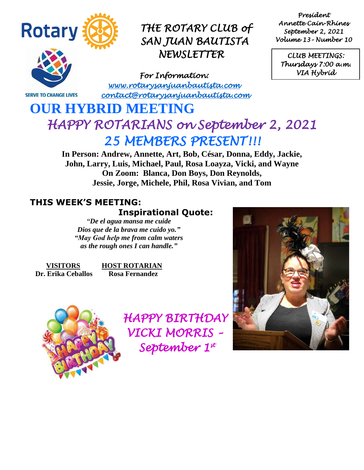

**SERVE TO CHANGE LIVES** 

## *THE ROTARY CLUB of SAN JUAN BAUTISTA NEWSLETTER*

*For Information: [www.rotarysanjuanbautista.com](http://www.rotarysanjuanbautista.com/)  contact@rotarysanjuanbautista.com* 

*President Annette Cain-Rhines September 2, 2021 Volume 13– Number 10* 

*CLUB MEETINGS: Thursdays 7:00 a.m. VIA Hybrid* 

# *HAPPY ROTARIANS on September 2, 2021 25 MEMBERS PRESENT!!!*

**In Person: Andrew, Annette, Art, Bob, César, Donna, Eddy, Jackie, John, Larry, Luis, Michael, Paul, Rosa Loayza, Vicki, and Wayne On Zoom: Blanca, Don Boys, Don Reynolds, Jessie, Jorge, Michele, Phil, Rosa Vivian, and Tom**

### **THIS WEEK'S MEETING:**

### **Inspirational Quote:**

*"De el agua mansa me cuide Dios que de la brava me cuido yo." "May God help me from calm waters as the rough ones I can handle."*

**OUR HYBRID MEETING** 

**VISITORS HOST ROTARIAN Dr. Erika Ceballos Rosa Fernandez**



 *HAPPY BIRTHDAY VICKI MORRIS – September 1st* 

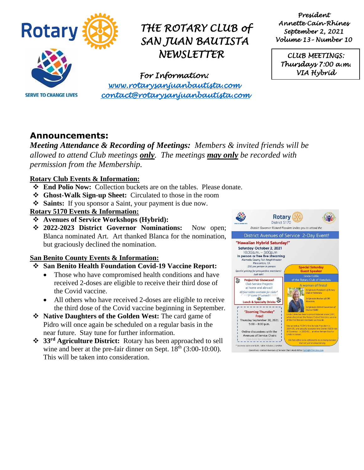

*President Annette Cain-Rhines September 2, 2021 Volume 13– Number 10* 

*CLUB MEETINGS: Thursdays 7:00 a.m. VIA Hybrid* 

**SERVE TO CHANGE LIVES** 

*For Information: [www.rotarysanjuanbautista.com](http://www.rotarysanjuanbautista.com/)  contact@rotarysanjuanbautista.com* 

### **Announcements:**

*Meeting Attendance & Recording of Meetings: Members & invited friends will be allowed to attend Club meetings only. The meetings may only be recorded with permission from the Membership.*

#### **Rotary Club Events & Information:**

- ❖ **End Polio Now:** Collection buckets are on the tables. Please donate.
- ❖ **Ghost-Walk Sign-up Sheet:** Circulated to those in the room
- ❖ **Saints:** If you sponsor a Saint, your payment is due now.

#### **Rotary 5170 Events & Information:**

- ❖ **Avenues of Service Workshops (Hybrid):**
- ❖ **2022-2023 District Governor Nominations:** Now open; Blanca nominated Art. Art thanked Blanca for the nomination, but graciously declined the nomination.

#### **San Benito County Events & Information:**

#### ❖ **San Benito Health Foundation Covid-19 Vaccine Report:**

- Those who have compromised health conditions and have received 2-doses are eligible to receive their third dose of the Covid vaccine.
- All others who have received 2-doses are eligible to receive the third dose of the Covid vaccine beginning in September.
- ❖ **Native Daughters of the Golden West:** The card game of Pidro will once again be scheduled on a regular basis in the near future. Stay tune for further information.
- ❖ **33rd Agriculture District:** Rotary has been approached to sell wine and beer at the pre-fair dinner on Sept. 18<sup>th</sup> (3:00-10:00). This will be taken into consideration.

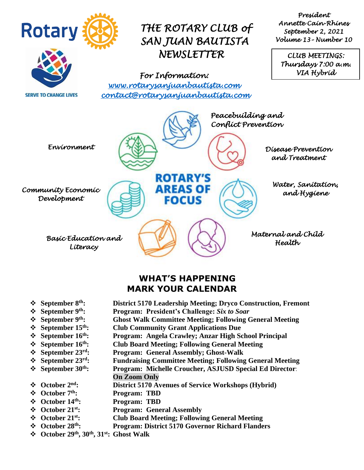

### **WHAT'S HAPPENING MARK YOUR CALENDAR**

- ❖ **September 8th: District 5170 Leadership Meeting; Dryco Construction, Fremont**
- ❖ **September 9th: Program: President's Challenge:** *Six to Soar*
- ❖ **September 9th: Ghost Walk Committee Meeting; Following General Meeting**
- ❖ **September 15th: Club Community Grant Applications Due**
- ❖ **September 16th: Program: Angela Crawley; Anzar High School Principal**
- ❖ **September 16th: Club Board Meeting; Following General Meeting**
	- ❖ **September 23 rd: Program: General Assembly; Ghost-Walk**
	- ❖ **September 23rd: Fundraising Committee Meeting; Following General Meeting**
	- ❖ **September 30th: Program: Michelle Croucher, ASJUSD Special Ed Director**: **On Zoom Only**
	- ❖ **October 2nd: District 5170 Avenues of Service Workshops (Hybrid)**
	- ❖ **October 7th: Program: TBD**
	- ❖ **October 14th: Program: TBD**
	- ❖ **October 21st: Program: General Assembly**
	- ❖ **October 21st: Club Board Meeting; Following General Meeting**
	- ❖ **October 28th: Program: District 5170 Governor Richard Flanders**
	- ❖ **October 29th, 30th, 31st: Ghost Walk**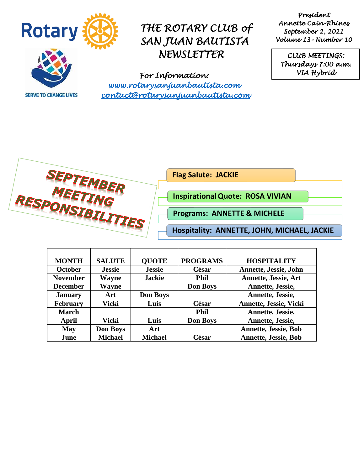

**SERVE TO CHANGE LIVES** 

## *THE ROTARY CLUB of SAN JUAN BAUTISTA NEWSLETTER*

*President Annette Cain-Rhines September 2, 2021 Volume 13– Number 10* 

*CLUB MEETINGS: Thursdays 7:00 a.m. VIA Hybrid* 

*For Information: [www.rotarysanjuanbautista.com](http://www.rotarysanjuanbautista.com/)  contact@rotarysanjuanbautista.com* 

SEPTEMBER<br>MEETING<br>RESPONSIBILITIES

**Flag Salute: JACKIE** 

**InspirationalQuote: ROSA VIVIAN**

**Programs: ANNETTE & MICHELE**

**Hospitality: ANNETTE, JOHN, MICHAEL, JACKIE**

| <b>MONTH</b>    | <b>SALUTE</b>   | <b>QUOTE</b>    | <b>PROGRAMS</b> | <b>HOSPITALITY</b>            |
|-----------------|-----------------|-----------------|-----------------|-------------------------------|
| <b>October</b>  | <b>Jessie</b>   | <b>Jessie</b>   | César           | Annette, Jessie, John         |
| <b>November</b> | Wayne           | <b>Jackie</b>   | <b>Phil</b>     | <b>Annette, Jessie, Art</b>   |
| <b>December</b> | Wayne           |                 | <b>Don Boys</b> | Annette, Jessie,              |
| <b>January</b>  | Art             | <b>Don Boys</b> |                 | Annette, Jessie,              |
| <b>February</b> | Vicki           | Luis            | César           | <b>Annette, Jessie, Vicki</b> |
| <b>March</b>    |                 |                 | <b>Phil</b>     | Annette, Jessie,              |
| April           | Vicki           | Luis            | <b>Don Boys</b> | Annette, Jessie,              |
| <b>May</b>      | <b>Don Boys</b> | Art             |                 | <b>Annette, Jessie, Bob</b>   |
| June            | <b>Michael</b>  | <b>Michael</b>  | César           | <b>Annette, Jessie, Bob</b>   |